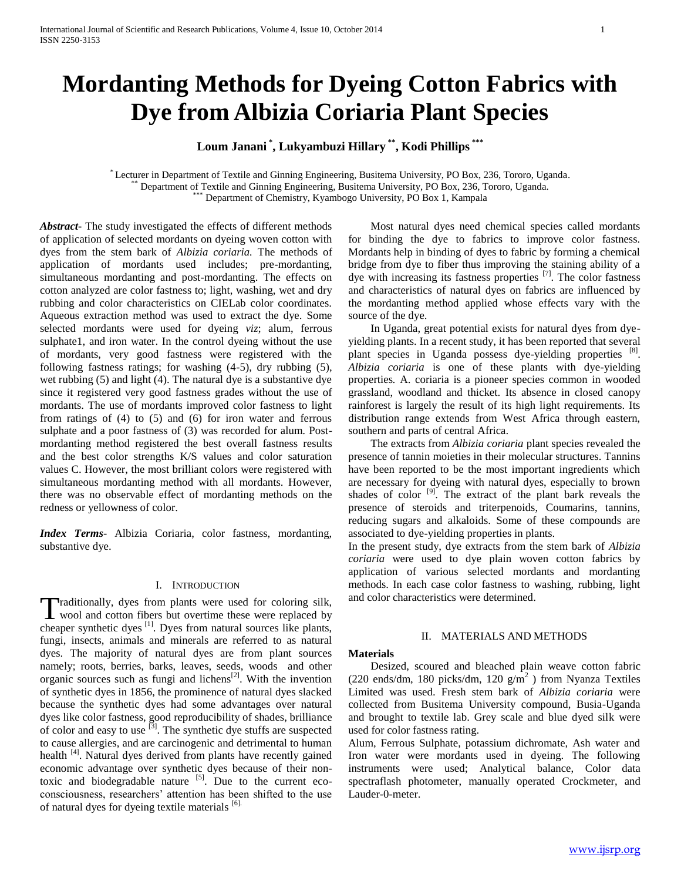# **Mordanting Methods for Dyeing Cotton Fabrics with Dye from Albizia Coriaria Plant Species**

**Loum Janani \* , Lukyambuzi Hillary \*\* , Kodi Phillips \*\*\***

\* Lecturer in Department of Textile and Ginning Engineering, Busitema University, PO Box, 236, Tororo, Uganda. Department of Textile and Ginning Engineering, Busitema University, PO Box, 236, Tororo, Uganda. Department of Chemistry, Kyambogo University, PO Box 1, Kampala

*Abstract***-** The study investigated the effects of different methods of application of selected mordants on dyeing woven cotton with dyes from the stem bark of *Albizia coriaria.* The methods of application of mordants used includes; pre-mordanting, simultaneous mordanting and post-mordanting. The effects on cotton analyzed are color fastness to; light, washing, wet and dry rubbing and color characteristics on CIELab color coordinates. Aqueous extraction method was used to extract the dye. Some selected mordants were used for dyeing *viz*; alum, ferrous sulphate1, and iron water. In the control dyeing without the use of mordants, very good fastness were registered with the following fastness ratings; for washing (4-5), dry rubbing (5), wet rubbing (5) and light (4). The natural dye is a substantive dye since it registered very good fastness grades without the use of mordants. The use of mordants improved color fastness to light from ratings of (4) to (5) and (6) for iron water and ferrous sulphate and a poor fastness of (3) was recorded for alum. Postmordanting method registered the best overall fastness results and the best color strengths K/S values and color saturation values C. However, the most brilliant colors were registered with simultaneous mordanting method with all mordants. However, there was no observable effect of mordanting methods on the redness or yellowness of color.

*Index Terms*- Albizia Coriaria, color fastness, mordanting, substantive dye.

## I. INTRODUCTION

raditionally, dyes from plants were used for coloring silk, Traditionally, dyes from plants were used for coloring silk,<br>wool and cotton fibers but overtime these were replaced by cheaper synthetic dyes <sup>[1]</sup>. Dyes from natural sources like plants, fungi, insects, animals and minerals are referred to as natural dyes. The majority of natural dyes are from plant sources namely; roots, berries, barks, leaves, seeds, woods and other organic sources such as fungi and lichens<sup>[2]</sup>. With the invention of synthetic dyes in 1856, the prominence of natural dyes slacked because the synthetic dyes had some advantages over natural dyes like color fastness, good reproducibility of shades, brilliance of color and easy to use [3]. The synthetic dye stuffs are suspected to cause allergies, and are carcinogenic and detrimental to human health <sup>[4]</sup>. Natural dyes derived from plants have recently gained economic advantage over synthetic dyes because of their nontoxic and biodegradable nature  $\begin{bmatrix} 5 \end{bmatrix}$ . Due to the current ecoconsciousness, researchers' attention has been shifted to the use of natural dyes for dyeing textile materials [6].

 Most natural dyes need chemical species called mordants for binding the dye to fabrics to improve color fastness. Mordants help in binding of dyes to fabric by forming a chemical bridge from dye to fiber thus improving the staining ability of a dye with increasing its fastness properties  $[7]$ . The color fastness and characteristics of natural dyes on fabrics are influenced by the mordanting method applied whose effects vary with the source of the dye.

 In Uganda, great potential exists for natural dyes from dyeyielding plants. In a recent study, it has been reported that several plant species in Uganda possess dye-yielding properties [8]. *Albizia coriaria* is one of these plants with dye-yielding properties*.* A. coriaria is a pioneer species common in wooded grassland, woodland and thicket. Its absence in closed canopy rainforest is largely the result of its high light requirements. Its distribution range extends from West Africa through eastern, southern and parts of central Africa.

 The extracts from *Albizia coriaria* plant species revealed the presence of tannin moieties in their molecular structures. Tannins have been reported to be the most important ingredients which are necessary for dyeing with natural dyes, especially to brown shades of color  $[9]$ . The extract of the plant bark reveals the presence of steroids and triterpenoids, Coumarins, tannins, reducing sugars and alkaloids. Some of these compounds are associated to dye-yielding properties in plants.

In the present study, dye extracts from the stem bark of *Albizia coriaria* were used to dye plain woven cotton fabrics by application of various selected mordants and mordanting methods. In each case color fastness to washing, rubbing, light and color characteristics were determined.

#### II. MATERIALS AND METHODS

#### **Materials**

 Desized, scoured and bleached plain weave cotton fabric (220 ends/dm, 180 picks/dm, 120  $g/m^2$ ) from Nyanza Textiles Limited was used. Fresh stem bark of *Albizia coriaria* were collected from Busitema University compound, Busia-Uganda and brought to textile lab. Grey scale and blue dyed silk were used for color fastness rating.

Alum, Ferrous Sulphate, potassium dichromate, Ash water and Iron water were mordants used in dyeing. The following instruments were used; Analytical balance, Color data spectraflash photometer, manually operated Crockmeter, and Lauder-0-meter.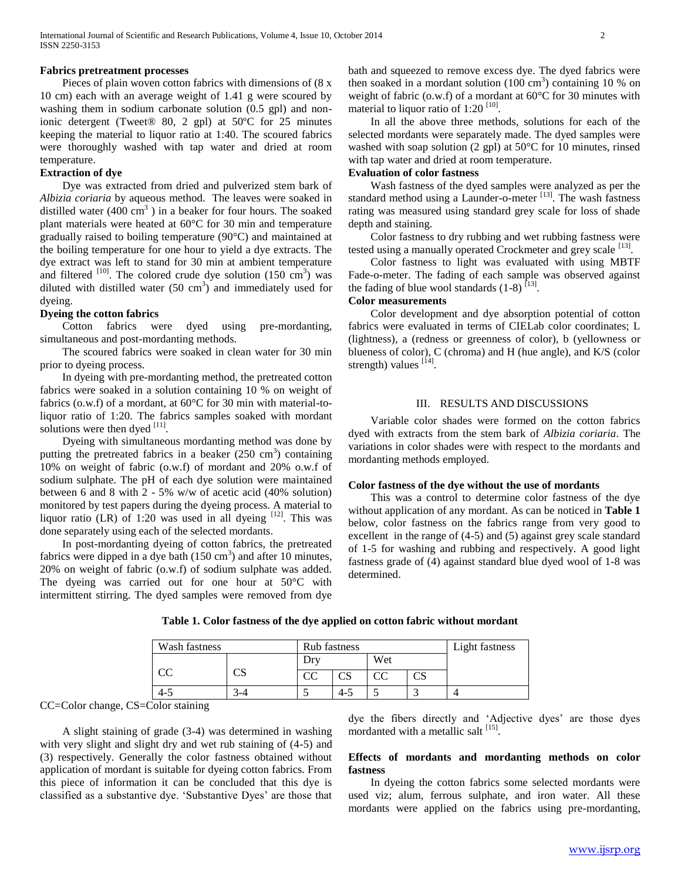#### **Fabrics pretreatment processes**

 Pieces of plain woven cotton fabrics with dimensions of (8 x 10 cm) each with an average weight of 1.41 g were scoured by washing them in sodium carbonate solution (0.5 gpl) and nonionic detergent (Tweet® 80, 2 gpl) at 50ºC for 25 minutes keeping the material to liquor ratio at 1:40. The scoured fabrics were thoroughly washed with tap water and dried at room temperature.

## **Extraction of dye**

 Dye was extracted from dried and pulverized stem bark of *Albizia coriaria* by aqueous method. The leaves were soaked in distilled water  $(400 \text{ cm}^3)$  in a beaker for four hours. The soaked plant materials were heated at 60°C for 30 min and temperature gradually raised to boiling temperature (90°C) and maintained at the boiling temperature for one hour to yield a dye extracts. The dye extract was left to stand for 30 min at ambient temperature and filtered  $[10]$ . The colored crude dye solution (150 cm<sup>3</sup>) was diluted with distilled water  $(50 \text{ cm}^3)$  and immediately used for dyeing.

#### **Dyeing the cotton fabrics**

 Cotton fabrics were dyed using pre-mordanting, simultaneous and post-mordanting methods.

 The scoured fabrics were soaked in clean water for 30 min prior to dyeing process.

 In dyeing with pre-mordanting method, the pretreated cotton fabrics were soaked in a solution containing 10 % on weight of fabrics (o.w.f) of a mordant, at 60°C for 30 min with material-toliquor ratio of 1:20. The fabrics samples soaked with mordant solutions were then dyed  $^{[11]}$ .

 Dyeing with simultaneous mordanting method was done by putting the pretreated fabrics in a beaker  $(250 \text{ cm}^3)$  containing 10% on weight of fabric (o.w.f) of mordant and 20% o.w.f of sodium sulphate. The pH of each dye solution were maintained between 6 and 8 with 2 - 5% w/w of acetic acid (40% solution) monitored by test papers during the dyeing process. A material to liquor ratio (LR) of 1:20 was used in all dyeing  $[12]$ . This was done separately using each of the selected mordants.

 In post-mordanting dyeing of cotton fabrics, the pretreated fabrics were dipped in a dye bath  $(150 \text{ cm}^3)$  and after 10 minutes, 20% on weight of fabric (o.w.f) of sodium sulphate was added. The dyeing was carried out for one hour at 50°C with intermittent stirring. The dyed samples were removed from dye

bath and squeezed to remove excess dye. The dyed fabrics were then soaked in a mordant solution  $(100 \text{ cm}^3)$  containing 10 % on weight of fabric (o.w.f) of a mordant at 60°C for 30 minutes with material to liquor ratio of  $1:20$   $[10]$ .

 In all the above three methods, solutions for each of the selected mordants were separately made. The dyed samples were washed with soap solution (2 gpl) at 50°C for 10 minutes, rinsed with tap water and dried at room temperature.

## **Evaluation of color fastness**

 Wash fastness of the dyed samples were analyzed as per the standard method using a Launder-o-meter  $[13]$ . The wash fastness rating was measured using standard grey scale for loss of shade depth and staining.

 Color fastness to dry rubbing and wet rubbing fastness were tested using a manually operated Crockmeter and grey scale [13].

 Color fastness to light was evaluated with using MBTF Fade-o-meter. The fading of each sample was observed against the fading of blue wool standards  $(1-8)$ <sup>[13]</sup>.

## **Color measurements**

 Color development and dye absorption potential of cotton fabrics were evaluated in terms of CIELab color coordinates; L (lightness), a (redness or greenness of color), b (yellowness or blueness of color), C (chroma) and H (hue angle), and K/S (color strength) values  $^{[14]}$ .

## III. RESULTS AND DISCUSSIONS

 Variable color shades were formed on the cotton fabrics dyed with extracts from the stem bark of *Albizia coriaria*. The variations in color shades were with respect to the mordants and mordanting methods employed.

#### **Color fastness of the dye without the use of mordants**

 This was a control to determine color fastness of the dye without application of any mordant. As can be noticed in **Table 1** below, color fastness on the fabrics range from very good to excellent in the range of (4-5) and (5) against grey scale standard of 1-5 for washing and rubbing and respectively. A good light fastness grade of (4) against standard blue dyed wool of 1-8 was determined.

| Wash fastness |    | Rub fastness |     |     |    | Light fastness |
|---------------|----|--------------|-----|-----|----|----------------|
|               |    | $Dr^{v}$     |     | Wet |    |                |
| <b>CC</b>     | در | CC           |     |     | CS |                |
| $4 - 5$       |    |              | ر-4 |     |    |                |

**Table 1. Color fastness of the dye applied on cotton fabric without mordant**

CC=Color change, CS=Color staining

 A slight staining of grade (3-4) was determined in washing with very slight and slight dry and wet rub staining of (4-5) and (3) respectively. Generally the color fastness obtained without application of mordant is suitable for dyeing cotton fabrics. From this piece of information it can be concluded that this dye is classified as a substantive dye. 'Substantive Dyes' are those that

dye the fibers directly and 'Adjective dyes' are those dyes mordanted with a metallic salt [15].

## **Effects of mordants and mordanting methods on color fastness**

 In dyeing the cotton fabrics some selected mordants were used viz; alum, ferrous sulphate, and iron water. All these mordants were applied on the fabrics using pre-mordanting,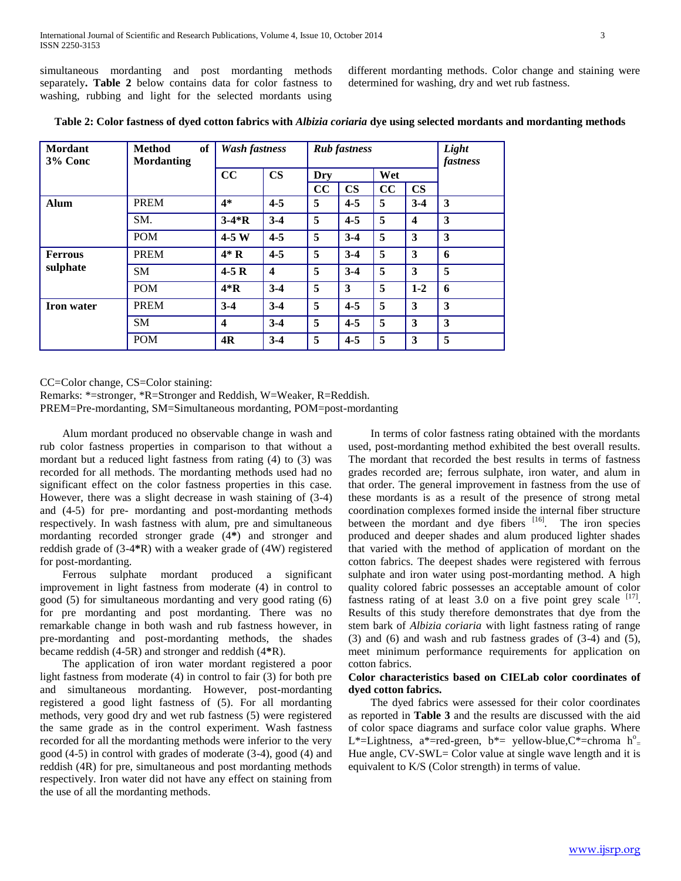simultaneous mordanting and post mordanting methods separately**. Table 2** below contains data for color fastness to washing, rubbing and light for the selected mordants using

different mordanting methods. Color change and staining were determined for washing, dry and wet rub fastness.

| Mordant<br>3% Conc | of<br><b>Method</b><br><b>Mordanting</b> | <b>Rub</b> fastness<br><b>Wash fastness</b> |                  |     | Light<br>fastness |     |               |   |
|--------------------|------------------------------------------|---------------------------------------------|------------------|-----|-------------------|-----|---------------|---|
|                    |                                          | CC                                          | $\mathbf{CS}$    | Dry |                   | Wet |               |   |
|                    |                                          |                                             |                  | cc  | $\mathbf{CS}$     | cc  | $\mathbf{CS}$ |   |
| Alum               | <b>PREM</b>                              | $4*$                                        | $4 - 5$          | 5   | $4 - 5$           | 5   | $3-4$         | 3 |
|                    | SM.                                      | $3-4*R$                                     | $3-4$            | 5   | $4 - 5$           | 5   | 4             | 3 |
|                    | <b>POM</b>                               | $4-5W$                                      | $4 - 5$          | 5   | $3-4$             | 5   | 3             | 3 |
| <b>Ferrous</b>     | <b>PREM</b>                              | $4*R$                                       | $4 - 5$          | 5   | $3-4$             | 5   | 3             | 6 |
| sulphate           | <b>SM</b>                                | $4-5R$                                      | $\boldsymbol{4}$ | 5   | $3-4$             | 5   | 3             | 5 |
|                    | <b>POM</b>                               | $4*R$                                       | $3-4$            | 5   | 3                 | 5   | $1 - 2$       | 6 |
| <b>Iron</b> water  | <b>PREM</b>                              | $3-4$                                       | $3-4$            | 5   | $4 - 5$           | 5   | 3             | 3 |
|                    | <b>SM</b>                                | $\boldsymbol{4}$                            | $3-4$            | 5   | $4 - 5$           | 5   | 3             | 3 |
|                    | <b>POM</b>                               | 4R                                          | $3-4$            | 5   | $4 - 5$           | 5   | 3             | 5 |

**Table 2: Color fastness of dyed cotton fabrics with** *Albizia coriaria* **dye using selected mordants and mordanting methods**

CC=Color change, CS=Color staining:

Remarks: \*=stronger, \*R=Stronger and Reddish, W=Weaker, R=Reddish.

PREM=Pre-mordanting, SM=Simultaneous mordanting, POM=post-mordanting

 Alum mordant produced no observable change in wash and rub color fastness properties in comparison to that without a mordant but a reduced light fastness from rating (4) to (3) was recorded for all methods. The mordanting methods used had no significant effect on the color fastness properties in this case. However, there was a slight decrease in wash staining of (3-4) and (4-5) for pre- mordanting and post-mordanting methods respectively. In wash fastness with alum, pre and simultaneous mordanting recorded stronger grade (4**\***) and stronger and reddish grade of (3-4**\***R) with a weaker grade of (4W) registered for post-mordanting.

 Ferrous sulphate mordant produced a significant improvement in light fastness from moderate (4) in control to good (5) for simultaneous mordanting and very good rating (6) for pre mordanting and post mordanting. There was no remarkable change in both wash and rub fastness however, in pre-mordanting and post-mordanting methods, the shades became reddish (4-5R) and stronger and reddish (4**\***R).

 The application of iron water mordant registered a poor light fastness from moderate (4) in control to fair (3) for both pre and simultaneous mordanting. However, post-mordanting registered a good light fastness of (5). For all mordanting methods, very good dry and wet rub fastness (5) were registered the same grade as in the control experiment. Wash fastness recorded for all the mordanting methods were inferior to the very good (4-5) in control with grades of moderate (3-4), good (4) and reddish (4R) for pre, simultaneous and post mordanting methods respectively. Iron water did not have any effect on staining from the use of all the mordanting methods.

 In terms of color fastness rating obtained with the mordants used, post-mordanting method exhibited the best overall results. The mordant that recorded the best results in terms of fastness grades recorded are; ferrous sulphate, iron water, and alum in that order. The general improvement in fastness from the use of these mordants is as a result of the presence of strong metal coordination complexes formed inside the internal fiber structure between the mordant and dye fibers <sup>[16]</sup>. The iron species produced and deeper shades and alum produced lighter shades that varied with the method of application of mordant on the cotton fabrics. The deepest shades were registered with ferrous sulphate and iron water using post-mordanting method. A high quality colored fabric possesses an acceptable amount of color fastness rating of at least  $3.0$  on a five point grey scale  $^{[17]}$ . Results of this study therefore demonstrates that dye from the stem bark of *Albizia coriaria* with light fastness rating of range  $(3)$  and  $(6)$  and wash and rub fastness grades of  $(3-4)$  and  $(5)$ , meet minimum performance requirements for application on cotton fabrics.

## **Color characteristics based on CIELab color coordinates of dyed cotton fabrics.**

 The dyed fabrics were assessed for their color coordinates as reported in **Table 3** and the results are discussed with the aid of color space diagrams and surface color value graphs. Where L\*=Lightness, a\*=red-green, b\*= yellow-blue, C\*=chroma  $h^o$ = Hue angle, CV-SWL= Color value at single wave length and it is equivalent to K/S (Color strength) in terms of value.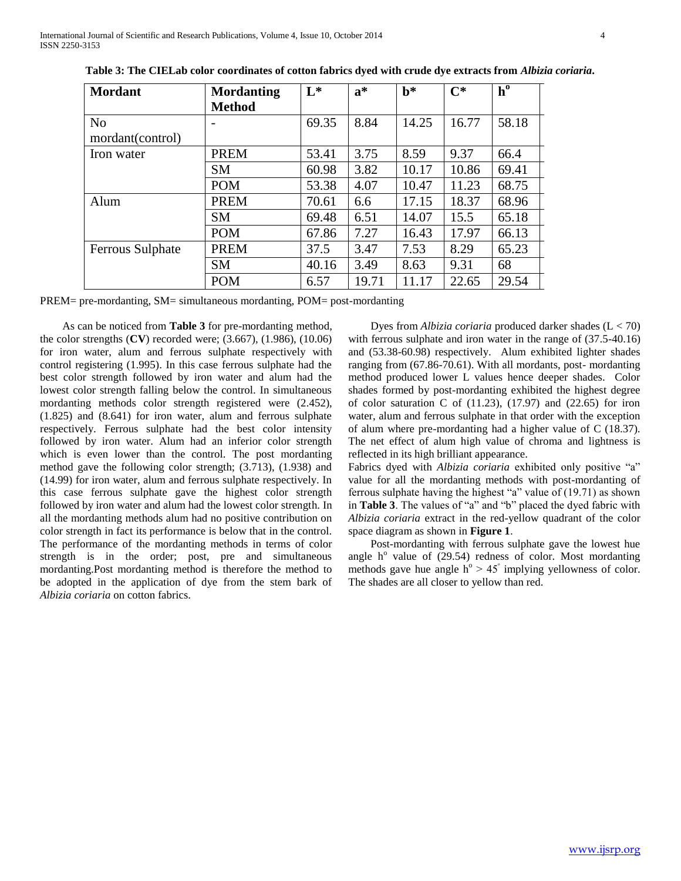| <b>Mordant</b>   | <b>Mordanting</b> | $L^*$ | $a^*$ | $\mathbf{b}^*$ | $C^*$ | $h^0$ |
|------------------|-------------------|-------|-------|----------------|-------|-------|
|                  | <b>Method</b>     |       |       |                |       |       |
| N <sub>o</sub>   |                   | 69.35 | 8.84  | 14.25          | 16.77 | 58.18 |
| mordant(control) |                   |       |       |                |       |       |
| Iron water       | <b>PREM</b>       | 53.41 | 3.75  | 8.59           | 9.37  | 66.4  |
|                  | <b>SM</b>         | 60.98 | 3.82  | 10.17          | 10.86 | 69.41 |
|                  | <b>POM</b>        | 53.38 | 4.07  | 10.47          | 11.23 | 68.75 |
| Alum             | <b>PREM</b>       | 70.61 | 6.6   | 17.15          | 18.37 | 68.96 |
|                  | <b>SM</b>         | 69.48 | 6.51  | 14.07          | 15.5  | 65.18 |
|                  | <b>POM</b>        | 67.86 | 7.27  | 16.43          | 17.97 | 66.13 |
| Ferrous Sulphate | <b>PREM</b>       | 37.5  | 3.47  | 7.53           | 8.29  | 65.23 |
|                  | <b>SM</b>         | 40.16 | 3.49  | 8.63           | 9.31  | 68    |
|                  | <b>POM</b>        | 6.57  | 19.71 | 11.17          | 22.65 | 29.54 |

PREM= pre-mordanting, SM= simultaneous mordanting, POM= post-mordanting

 As can be noticed from **Table 3** for pre-mordanting method, the color strengths (**CV**) recorded were; (3.667), (1.986), (10.06) for iron water, alum and ferrous sulphate respectively with control registering (1.995). In this case ferrous sulphate had the best color strength followed by iron water and alum had the lowest color strength falling below the control. In simultaneous mordanting methods color strength registered were (2.452), (1.825) and (8.641) for iron water, alum and ferrous sulphate respectively. Ferrous sulphate had the best color intensity followed by iron water. Alum had an inferior color strength which is even lower than the control. The post mordanting method gave the following color strength; (3.713), (1.938) and (14.99) for iron water, alum and ferrous sulphate respectively. In this case ferrous sulphate gave the highest color strength followed by iron water and alum had the lowest color strength. In all the mordanting methods alum had no positive contribution on color strength in fact its performance is below that in the control. The performance of the mordanting methods in terms of color strength is in the order; post, pre and simultaneous mordanting.Post mordanting method is therefore the method to be adopted in the application of dye from the stem bark of *Albizia coriaria* on cotton fabrics.

 Dyes from *Albizia coriaria* produced darker shades (L < 70) with ferrous sulphate and iron water in the range of (37.5-40.16) and (53.38-60.98) respectively. Alum exhibited lighter shades ranging from (67.86-70.61). With all mordants, post- mordanting method produced lower L values hence deeper shades. Color shades formed by post-mordanting exhibited the highest degree of color saturation C of  $(11.23)$ ,  $(17.97)$  and  $(22.65)$  for iron water, alum and ferrous sulphate in that order with the exception of alum where pre-mordanting had a higher value of C (18.37). The net effect of alum high value of chroma and lightness is reflected in its high brilliant appearance.

Fabrics dyed with *Albizia coriaria* exhibited only positive "a" value for all the mordanting methods with post-mordanting of ferrous sulphate having the highest "a" value of (19.71) as shown in **Table 3**. The values of "a" and "b" placed the dyed fabric with *Albizia coriaria* extract in the red-yellow quadrant of the color space diagram as shown in **Figure 1**.

 Post-mordanting with ferrous sulphate gave the lowest hue angle  $h^{\circ}$  value of (29.54) redness of color. Most mordanting methods gave hue angle  $h^{\circ} > 45^{\circ}$  implying yellowness of color. The shades are all closer to yellow than red.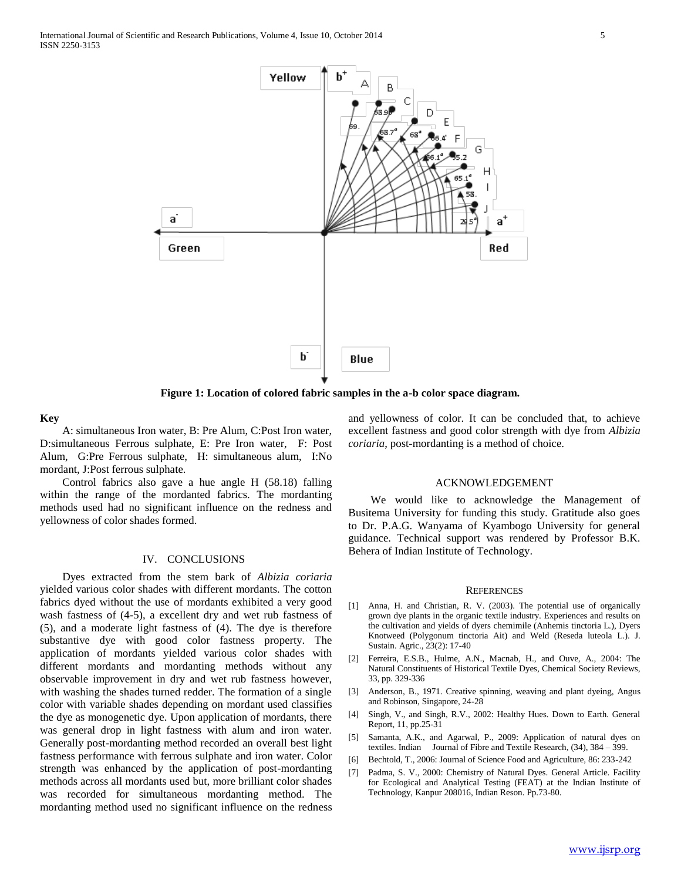

**Figure 1: Location of colored fabric samples in the a-b color space diagram.**

#### **Key**

 A: simultaneous Iron water, B: Pre Alum, C:Post Iron water, D:simultaneous Ferrous sulphate, E: Pre Iron water, F: Post Alum, G:Pre Ferrous sulphate, H: simultaneous alum, I:No mordant, J:Post ferrous sulphate.

 Control fabrics also gave a hue angle H (58.18) falling within the range of the mordanted fabrics. The mordanting methods used had no significant influence on the redness and yellowness of color shades formed.

#### IV. CONCLUSIONS

 Dyes extracted from the stem bark of *Albizia coriaria* yielded various color shades with different mordants. The cotton fabrics dyed without the use of mordants exhibited a very good wash fastness of (4-5), a excellent dry and wet rub fastness of (5), and a moderate light fastness of (4). The dye is therefore substantive dye with good color fastness property. The application of mordants yielded various color shades with different mordants and mordanting methods without any observable improvement in dry and wet rub fastness however, with washing the shades turned redder. The formation of a single color with variable shades depending on mordant used classifies the dye as monogenetic dye. Upon application of mordants, there was general drop in light fastness with alum and iron water. Generally post-mordanting method recorded an overall best light fastness performance with ferrous sulphate and iron water. Color strength was enhanced by the application of post-mordanting methods across all mordants used but, more brilliant color shades was recorded for simultaneous mordanting method. The mordanting method used no significant influence on the redness

and yellowness of color. It can be concluded that, to achieve excellent fastness and good color strength with dye from *Albizia coriaria*, post-mordanting is a method of choice.

#### ACKNOWLEDGEMENT

 We would like to acknowledge the Management of Busitema University for funding this study. Gratitude also goes to Dr. P.A.G. Wanyama of Kyambogo University for general guidance. Technical support was rendered by Professor B.K. Behera of Indian Institute of Technology.

#### **REFERENCES**

- [1] Anna, H. and Christian, R. V. (2003). The potential use of organically grown dye plants in the organic textile industry. Experiences and results on the cultivation and yields of dyers chemimile (Anhemis tinctoria L.), Dyers Knotweed (Polygonum tinctoria Ait) and Weld (Reseda luteola L.). J. Sustain. Agric., 23(2): 17-40
- [2] Ferreira, E.S.B., Hulme, A.N., Macnab, H., and Ouve, A., 2004: The Natural Constituents of Historical Textile Dyes, Chemical Society Reviews, 33, pp. 329-336
- [3] Anderson, B., 1971. Creative spinning, weaving and plant dyeing, Angus and Robinson, Singapore, 24-28
- [4] Singh, V., and Singh, R.V., 2002: Healthy Hues. Down to Earth. General Report, 11, pp.25-31
- [5] Samanta, A.K., and Agarwal, P., 2009: Application of natural dyes on textiles. Indian Journal of Fibre and Textile Research, (34), 384 – 399.
- [6] Bechtold, T., 2006: Journal of Science Food and Agriculture, 86: 233-242
- [7] Padma, S. V., 2000: Chemistry of Natural Dyes. General Article. Facility for Ecological and Analytical Testing (FEAT) at the Indian Institute of Technology, Kanpur 208016, Indian Reson. Pp.73-80.